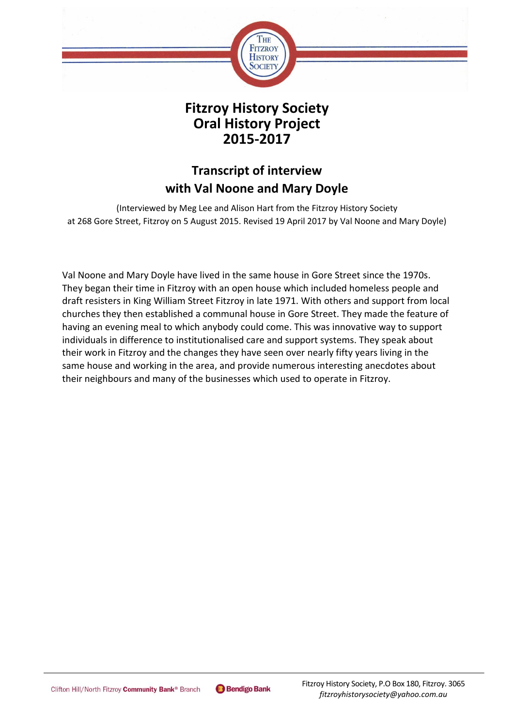

## **Fitzroy History Society Oral History Project 2015-2017**

## **Transcript of interview with Val Noone and Mary Doyle**

(Interviewed by Meg Lee and Alison Hart from the Fitzroy History Society at 268 Gore Street, Fitzroy on 5 August 2015. Revised 19 April 2017 by Val Noone and Mary Doyle)

Val Noone and Mary Doyle have lived in the same house in Gore Street since the 1970s. They began their time in Fitzroy with an open house which included homeless people and draft resisters in King William Street Fitzroy in late 1971. With others and support from local churches they then established a communal house in Gore Street. They made the feature of having an evening meal to which anybody could come. This was innovative way to support individuals in difference to institutionalised care and support systems. They speak about their work in Fitzroy and the changes they have seen over nearly fifty years living in the same house and working in the area, and provide numerous interesting anecdotes about their neighbours and many of the businesses which used to operate in Fitzroy.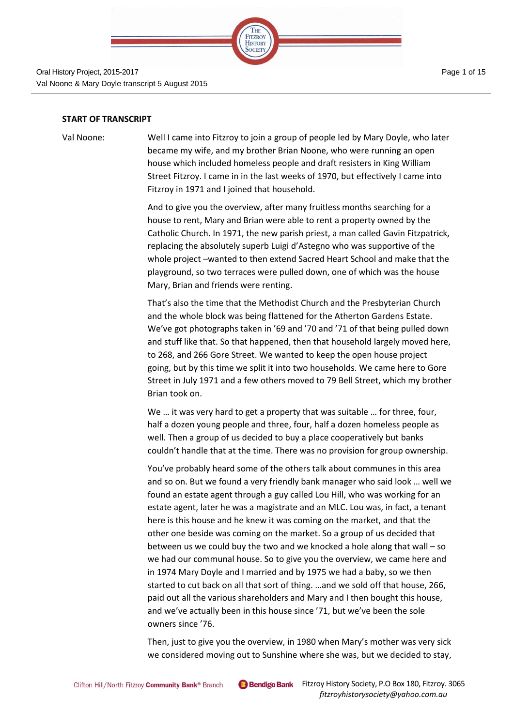

## **START OF TRANSCRIPT**

Val Noone & Mary Doyle transcript 5 August 2015

Val Noone: Well I came into Fitzroy to join a group of people led by Mary Doyle, who later became my wife, and my brother Brian Noone, who were running an open house which included homeless people and draft resisters in King William Street Fitzroy. I came in in the last weeks of 1970, but effectively I came into Fitzroy in 1971 and I joined that household.

> And to give you the overview, after many fruitless months searching for a house to rent, Mary and Brian were able to rent a property owned by the Catholic Church. In 1971, the new parish priest, a man called Gavin Fitzpatrick, replacing the absolutely superb Luigi d'Astegno who was supportive of the whole project –wanted to then extend Sacred Heart School and make that the playground, so two terraces were pulled down, one of which was the house Mary, Brian and friends were renting.

> That's also the time that the Methodist Church and the Presbyterian Church and the whole block was being flattened for the Atherton Gardens Estate. We've got photographs taken in '69 and '70 and '71 of that being pulled down and stuff like that. So that happened, then that household largely moved here, to 268, and 266 Gore Street. We wanted to keep the open house project going, but by this time we split it into two households. We came here to Gore Street in July 1971 and a few others moved to 79 Bell Street, which my brother Brian took on.

We ... it was very hard to get a property that was suitable ... for three, four, half a dozen young people and three, four, half a dozen homeless people as well. Then a group of us decided to buy a place cooperatively but banks couldn't handle that at the time. There was no provision for group ownership.

You've probably heard some of the others talk about communes in this area and so on. But we found a very friendly bank manager who said look … well we found an estate agent through a guy called Lou Hill, who was working for an estate agent, later he was a magistrate and an MLC. Lou was, in fact, a tenant here is this house and he knew it was coming on the market, and that the other one beside was coming on the market. So a group of us decided that between us we could buy the two and we knocked a hole along that wall – so we had our communal house. So to give you the overview, we came here and in 1974 Mary Doyle and I married and by 1975 we had a baby, so we then started to cut back on all that sort of thing. …and we sold off that house, 266, paid out all the various shareholders and Mary and I then bought this house, and we've actually been in this house since '71, but we've been the sole owners since '76.

Then, just to give you the overview, in 1980 when Mary's mother was very sick we considered moving out to Sunshine where she was, but we decided to stay,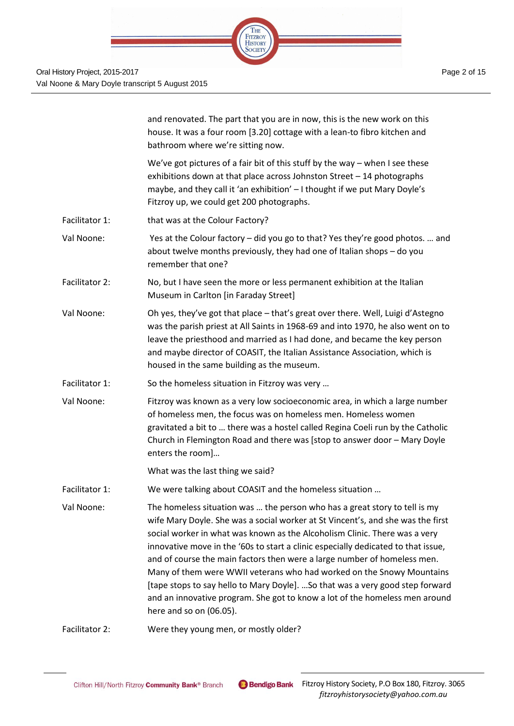

and renovated. The part that you are in now, this is the new work on this house. It was a four room [3.20] cottage with a lean-to fibro kitchen and bathroom where we're sitting now. We've got pictures of a fair bit of this stuff by the way – when I see these exhibitions down at that place across Johnston Street – 14 photographs maybe, and they call it 'an exhibition' – I thought if we put Mary Doyle's Fitzroy up, we could get 200 photographs. Facilitator 1: that was at the Colour Factory? Val Noone: Yes at the Colour factory – did you go to that? Yes they're good photos. … and about twelve months previously, they had one of Italian shops – do you remember that one? Facilitator 2: No, but I have seen the more or less permanent exhibition at the Italian Museum in Carlton [in Faraday Street] Val Noone: Oh yes, they've got that place – that's great over there. Well, Luigi d'Astegno was the parish priest at All Saints in 1968-69 and into 1970, he also went on to leave the priesthood and married as I had done, and became the key person and maybe director of COASIT, the Italian Assistance Association, which is housed in the same building as the museum. Facilitator 1: So the homeless situation in Fitzroy was very ... Val Noone: Fitzroy was known as a very low socioeconomic area, in which a large number of homeless men, the focus was on homeless men. Homeless women gravitated a bit to … there was a hostel called Regina Coeli run by the Catholic Church in Flemington Road and there was [stop to answer door – Mary Doyle enters the room]… What was the last thing we said? Facilitator 1: We were talking about COASIT and the homeless situation ... Val Noone: The homeless situation was … the person who has a great story to tell is my wife Mary Doyle. She was a social worker at St Vincent's, and she was the first social worker in what was known as the Alcoholism Clinic. There was a very innovative move in the '60s to start a clinic especially dedicated to that issue, and of course the main factors then were a large number of homeless men. Many of them were WWII veterans who had worked on the Snowy Mountains [tape stops to say hello to Mary Doyle]. …So that was a very good step forward and an innovative program. She got to know a lot of the homeless men around here and so on (06.05).

Facilitator 2: Were they young men, or mostly older?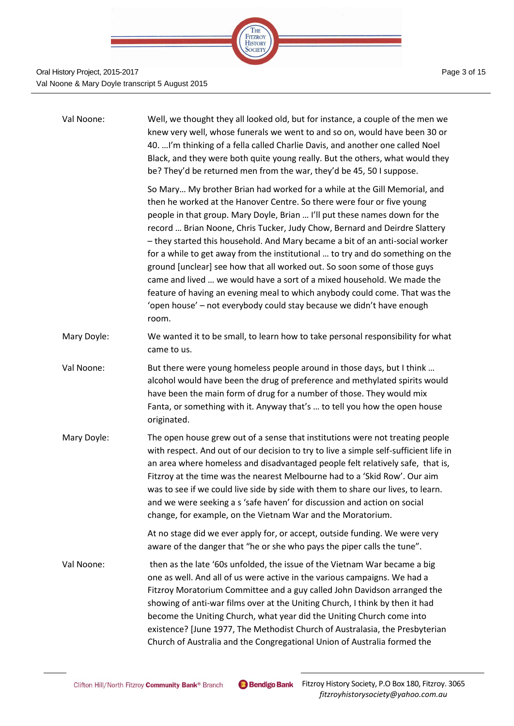| Page 3 of 15 |  |  |
|--------------|--|--|
|              |  |  |

| Val Noone:  | Well, we thought they all looked old, but for instance, a couple of the men we<br>knew very well, whose funerals we went to and so on, would have been 30 or<br>40. I'm thinking of a fella called Charlie Davis, and another one called Noel<br>Black, and they were both quite young really. But the others, what would they<br>be? They'd be returned men from the war, they'd be 45, 50 I suppose.                                                                                                                                                                                                                                                                                                                                                                                                    |
|-------------|-----------------------------------------------------------------------------------------------------------------------------------------------------------------------------------------------------------------------------------------------------------------------------------------------------------------------------------------------------------------------------------------------------------------------------------------------------------------------------------------------------------------------------------------------------------------------------------------------------------------------------------------------------------------------------------------------------------------------------------------------------------------------------------------------------------|
|             | So Mary My brother Brian had worked for a while at the Gill Memorial, and<br>then he worked at the Hanover Centre. So there were four or five young<br>people in that group. Mary Doyle, Brian  I'll put these names down for the<br>record  Brian Noone, Chris Tucker, Judy Chow, Bernard and Deirdre Slattery<br>- they started this household. And Mary became a bit of an anti-social worker<br>for a while to get away from the institutional  to try and do something on the<br>ground [unclear] see how that all worked out. So soon some of those guys<br>came and lived  we would have a sort of a mixed household. We made the<br>feature of having an evening meal to which anybody could come. That was the<br>'open house' - not everybody could stay because we didn't have enough<br>room. |
| Mary Doyle: | We wanted it to be small, to learn how to take personal responsibility for what<br>came to us.                                                                                                                                                                                                                                                                                                                                                                                                                                                                                                                                                                                                                                                                                                            |
| Val Noone:  | But there were young homeless people around in those days, but I think<br>alcohol would have been the drug of preference and methylated spirits would<br>have been the main form of drug for a number of those. They would mix<br>Fanta, or something with it. Anyway that's  to tell you how the open house<br>originated.                                                                                                                                                                                                                                                                                                                                                                                                                                                                               |
| Mary Doyle: | The open house grew out of a sense that institutions were not treating people<br>with respect. And out of our decision to try to live a simple self-sufficient life in<br>an area where homeless and disadvantaged people felt relatively safe, that is,<br>Fitzroy at the time was the nearest Melbourne had to a 'Skid Row'. Our aim<br>was to see if we could live side by side with them to share our lives, to learn.<br>and we were seeking a s 'safe haven' for discussion and action on social<br>change, for example, on the Vietnam War and the Moratorium.                                                                                                                                                                                                                                     |
|             | At no stage did we ever apply for, or accept, outside funding. We were very<br>aware of the danger that "he or she who pays the piper calls the tune".                                                                                                                                                                                                                                                                                                                                                                                                                                                                                                                                                                                                                                                    |
| Val Noone:  | then as the late '60s unfolded, the issue of the Vietnam War became a big<br>one as well. And all of us were active in the various campaigns. We had a<br>Fitzroy Moratorium Committee and a guy called John Davidson arranged the<br>showing of anti-war films over at the Uniting Church, I think by then it had<br>become the Uniting Church, what year did the Uniting Church come into<br>existence? [June 1977, The Methodist Church of Australasia, the Presbyterian<br>Church of Australia and the Congregational Union of Australia formed the                                                                                                                                                                                                                                                   |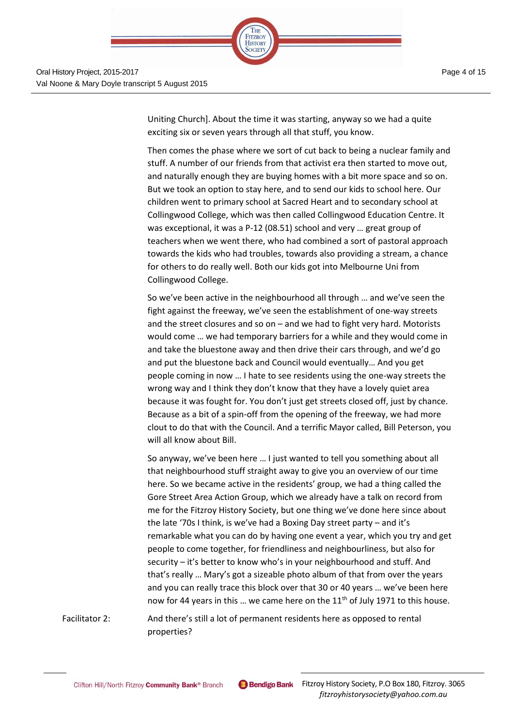Uniting Church]. About the time it was starting, anyway so we had a quite exciting six or seven years through all that stuff, you know.

THE **FITZROY HISTORY** OCIETY

Then comes the phase where we sort of cut back to being a nuclear family and stuff. A number of our friends from that activist era then started to move out, and naturally enough they are buying homes with a bit more space and so on. But we took an option to stay here, and to send our kids to school here. Our children went to primary school at Sacred Heart and to secondary school at Collingwood College, which was then called Collingwood Education Centre. It was exceptional, it was a P-12 (08.51) school and very … great group of teachers when we went there, who had combined a sort of pastoral approach towards the kids who had troubles, towards also providing a stream, a chance for others to do really well. Both our kids got into Melbourne Uni from Collingwood College.

So we've been active in the neighbourhood all through … and we've seen the fight against the freeway, we've seen the establishment of one-way streets and the street closures and so on – and we had to fight very hard. Motorists would come … we had temporary barriers for a while and they would come in and take the bluestone away and then drive their cars through, and we'd go and put the bluestone back and Council would eventually… And you get people coming in now … I hate to see residents using the one-way streets the wrong way and I think they don't know that they have a lovely quiet area because it was fought for. You don't just get streets closed off, just by chance. Because as a bit of a spin-off from the opening of the freeway, we had more clout to do that with the Council. And a terrific Mayor called, Bill Peterson, you will all know about Bill.

So anyway, we've been here … I just wanted to tell you something about all that neighbourhood stuff straight away to give you an overview of our time here. So we became active in the residents' group, we had a thing called the Gore Street Area Action Group, which we already have a talk on record from me for the Fitzroy History Society, but one thing we've done here since about the late '70s I think, is we've had a Boxing Day street party – and it's remarkable what you can do by having one event a year, which you try and get people to come together, for friendliness and neighbourliness, but also for security – it's better to know who's in your neighbourhood and stuff. And that's really … Mary's got a sizeable photo album of that from over the years and you can really trace this block over that 30 or 40 years … we've been here now for 44 years in this ... we came here on the  $11<sup>th</sup>$  of July 1971 to this house.

Facilitator 2: And there's still a lot of permanent residents here as opposed to rental properties?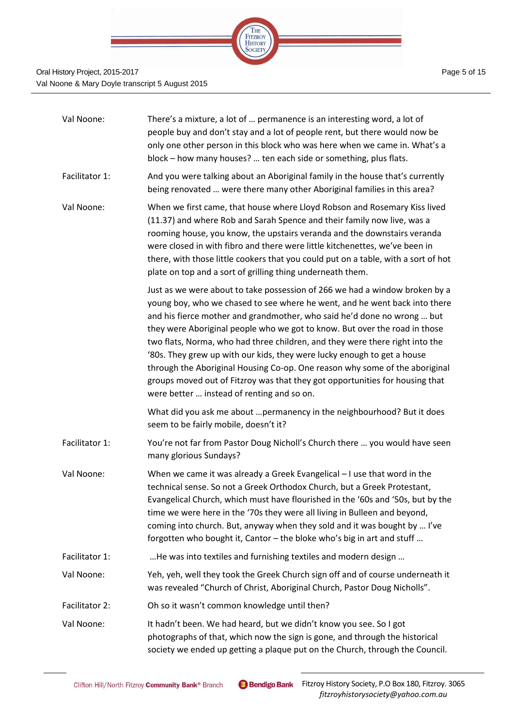| Val Noone:     | There's a mixture, a lot of  permanence is an interesting word, a lot of<br>people buy and don't stay and a lot of people rent, but there would now be<br>only one other person in this block who was here when we came in. What's a<br>block - how many houses?  ten each side or something, plus flats.                                                                                                                                                                                                                                                                                                                                                                                  |
|----------------|--------------------------------------------------------------------------------------------------------------------------------------------------------------------------------------------------------------------------------------------------------------------------------------------------------------------------------------------------------------------------------------------------------------------------------------------------------------------------------------------------------------------------------------------------------------------------------------------------------------------------------------------------------------------------------------------|
| Facilitator 1: | And you were talking about an Aboriginal family in the house that's currently<br>being renovated  were there many other Aboriginal families in this area?                                                                                                                                                                                                                                                                                                                                                                                                                                                                                                                                  |
| Val Noone:     | When we first came, that house where Lloyd Robson and Rosemary Kiss lived<br>(11.37) and where Rob and Sarah Spence and their family now live, was a<br>rooming house, you know, the upstairs veranda and the downstairs veranda<br>were closed in with fibro and there were little kitchenettes, we've been in<br>there, with those little cookers that you could put on a table, with a sort of hot<br>plate on top and a sort of grilling thing underneath them.                                                                                                                                                                                                                        |
|                | Just as we were about to take possession of 266 we had a window broken by a<br>young boy, who we chased to see where he went, and he went back into there<br>and his fierce mother and grandmother, who said he'd done no wrong  but<br>they were Aboriginal people who we got to know. But over the road in those<br>two flats, Norma, who had three children, and they were there right into the<br>'80s. They grew up with our kids, they were lucky enough to get a house<br>through the Aboriginal Housing Co-op. One reason why some of the aboriginal<br>groups moved out of Fitzroy was that they got opportunities for housing that<br>were better  instead of renting and so on. |
|                | What did you ask me about  permanency in the neighbourhood? But it does<br>seem to be fairly mobile, doesn't it?                                                                                                                                                                                                                                                                                                                                                                                                                                                                                                                                                                           |
| Facilitator 1: | You're not far from Pastor Doug Nicholl's Church there  you would have seen<br>many glorious Sundays?                                                                                                                                                                                                                                                                                                                                                                                                                                                                                                                                                                                      |
| Val Noone:     | When we came it was already a Greek Evangelical - I use that word in the<br>technical sense. So not a Greek Orthodox Church, but a Greek Protestant,<br>Evangelical Church, which must have flourished in the '60s and '50s, but by the<br>time we were here in the '70s they were all living in Bulleen and beyond,<br>coming into church. But, anyway when they sold and it was bought by  I've<br>forgotten who bought it, Cantor - the bloke who's big in art and stuff                                                                                                                                                                                                                |
| Facilitator 1: | He was into textiles and furnishing textiles and modern design                                                                                                                                                                                                                                                                                                                                                                                                                                                                                                                                                                                                                             |
| Val Noone:     | Yeh, yeh, well they took the Greek Church sign off and of course underneath it<br>was revealed "Church of Christ, Aboriginal Church, Pastor Doug Nicholls".                                                                                                                                                                                                                                                                                                                                                                                                                                                                                                                                |
| Facilitator 2: | Oh so it wasn't common knowledge until then?                                                                                                                                                                                                                                                                                                                                                                                                                                                                                                                                                                                                                                               |
| Val Noone:     | It hadn't been. We had heard, but we didn't know you see. So I got<br>photographs of that, which now the sign is gone, and through the historical<br>society we ended up getting a plaque put on the Church, through the Council.                                                                                                                                                                                                                                                                                                                                                                                                                                                          |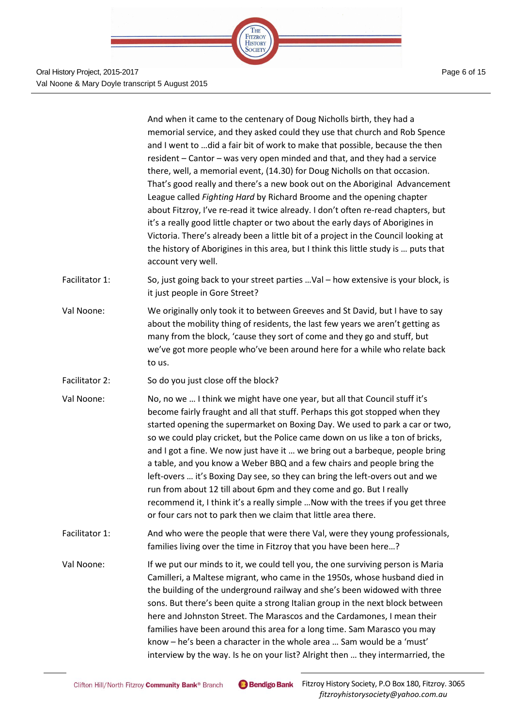Oral History Project, 2015-2017 Val Noone & Mary Doyle transcript 5 August 2015

|                | And when it came to the centenary of Doug Nicholls birth, they had a<br>memorial service, and they asked could they use that church and Rob Spence<br>and I went to  did a fair bit of work to make that possible, because the then<br>resident - Cantor - was very open minded and that, and they had a service<br>there, well, a memorial event, (14.30) for Doug Nicholls on that occasion.<br>That's good really and there's a new book out on the Aboriginal Advancement<br>League called Fighting Hard by Richard Broome and the opening chapter<br>about Fitzroy, I've re-read it twice already. I don't often re-read chapters, but<br>it's a really good little chapter or two about the early days of Aborigines in<br>Victoria. There's already been a little bit of a project in the Council looking at<br>the history of Aborigines in this area, but I think this little study is  puts that<br>account very well. |
|----------------|----------------------------------------------------------------------------------------------------------------------------------------------------------------------------------------------------------------------------------------------------------------------------------------------------------------------------------------------------------------------------------------------------------------------------------------------------------------------------------------------------------------------------------------------------------------------------------------------------------------------------------------------------------------------------------------------------------------------------------------------------------------------------------------------------------------------------------------------------------------------------------------------------------------------------------|
| Facilitator 1: | So, just going back to your street parties  Val - how extensive is your block, is<br>it just people in Gore Street?                                                                                                                                                                                                                                                                                                                                                                                                                                                                                                                                                                                                                                                                                                                                                                                                              |
| Val Noone:     | We originally only took it to between Greeves and St David, but I have to say<br>about the mobility thing of residents, the last few years we aren't getting as<br>many from the block, 'cause they sort of come and they go and stuff, but<br>we've got more people who've been around here for a while who relate back<br>to us.                                                                                                                                                                                                                                                                                                                                                                                                                                                                                                                                                                                               |
| Facilitator 2: | So do you just close off the block?                                                                                                                                                                                                                                                                                                                                                                                                                                                                                                                                                                                                                                                                                                                                                                                                                                                                                              |
| Val Noone:     | No, no we  I think we might have one year, but all that Council stuff it's<br>become fairly fraught and all that stuff. Perhaps this got stopped when they<br>started opening the supermarket on Boxing Day. We used to park a car or two,<br>so we could play cricket, but the Police came down on us like a ton of bricks,<br>and I got a fine. We now just have it  we bring out a barbeque, people bring<br>a table, and you know a Weber BBQ and a few chairs and people bring the<br>left-overs  it's Boxing Day see, so they can bring the left-overs out and we<br>run from about 12 till about 6pm and they come and go. But I really<br>recommend it, I think it's a really simple  Now with the trees if you get three<br>or four cars not to park then we claim that little area there.                                                                                                                              |
| Facilitator 1: | And who were the people that were there Val, were they young professionals,<br>families living over the time in Fitzroy that you have been here?                                                                                                                                                                                                                                                                                                                                                                                                                                                                                                                                                                                                                                                                                                                                                                                 |
| Val Noone:     | If we put our minds to it, we could tell you, the one surviving person is Maria<br>Camilleri, a Maltese migrant, who came in the 1950s, whose husband died in<br>the building of the underground railway and she's been widowed with three<br>sons. But there's been quite a strong Italian group in the next block between<br>here and Johnston Street. The Marascos and the Cardamones, I mean their<br>families have been around this area for a long time. Sam Marasco you may<br>know - he's been a character in the whole area  Sam would be a 'must'<br>interview by the way. Is he on your list? Alright then  they intermarried, the                                                                                                                                                                                                                                                                                    |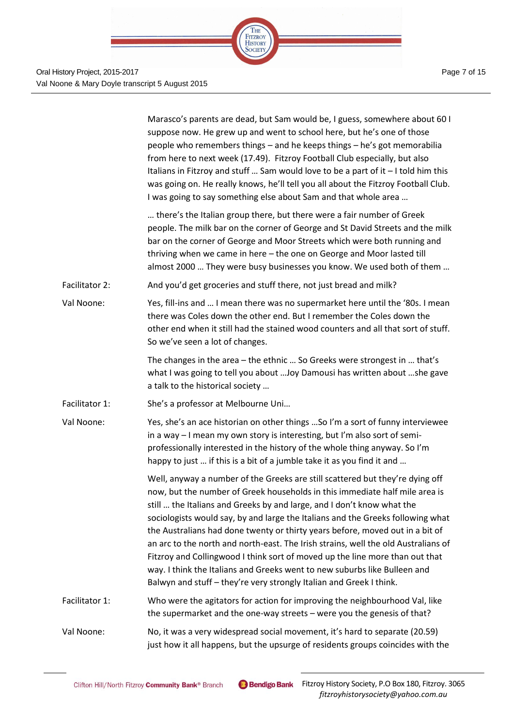|                | Marasco's parents are dead, but Sam would be, I guess, somewhere about 60 I<br>suppose now. He grew up and went to school here, but he's one of those<br>people who remembers things - and he keeps things - he's got memorabilia<br>from here to next week (17.49). Fitzroy Football Club especially, but also<br>Italians in Fitzroy and stuff  Sam would love to be a part of it - I told him this<br>was going on. He really knows, he'll tell you all about the Fitzroy Football Club.<br>I was going to say something else about Sam and that whole area                                                                                                                                                                       |
|----------------|--------------------------------------------------------------------------------------------------------------------------------------------------------------------------------------------------------------------------------------------------------------------------------------------------------------------------------------------------------------------------------------------------------------------------------------------------------------------------------------------------------------------------------------------------------------------------------------------------------------------------------------------------------------------------------------------------------------------------------------|
|                | there's the Italian group there, but there were a fair number of Greek<br>people. The milk bar on the corner of George and St David Streets and the milk<br>bar on the corner of George and Moor Streets which were both running and<br>thriving when we came in here - the one on George and Moor lasted till<br>almost 2000  They were busy businesses you know. We used both of them                                                                                                                                                                                                                                                                                                                                              |
| Facilitator 2: | And you'd get groceries and stuff there, not just bread and milk?                                                                                                                                                                                                                                                                                                                                                                                                                                                                                                                                                                                                                                                                    |
| Val Noone:     | Yes, fill-ins and  I mean there was no supermarket here until the '80s. I mean<br>there was Coles down the other end. But I remember the Coles down the<br>other end when it still had the stained wood counters and all that sort of stuff.<br>So we've seen a lot of changes.                                                                                                                                                                                                                                                                                                                                                                                                                                                      |
|                | The changes in the area - the ethnic  So Greeks were strongest in  that's<br>what I was going to tell you about  Joy Damousi has written about  she gave<br>a talk to the historical society                                                                                                                                                                                                                                                                                                                                                                                                                                                                                                                                         |
| Facilitator 1: | She's a professor at Melbourne Uni                                                                                                                                                                                                                                                                                                                                                                                                                                                                                                                                                                                                                                                                                                   |
| Val Noone:     | Yes, she's an ace historian on other things  So I'm a sort of funny interviewee<br>in a way - I mean my own story is interesting, but I'm also sort of semi-<br>professionally interested in the history of the whole thing anyway. So I'm<br>happy to just  if this is a bit of a jumble take it as you find it and                                                                                                                                                                                                                                                                                                                                                                                                                 |
|                | Well, anyway a number of the Greeks are still scattered but they're dying off<br>now, but the number of Greek households in this immediate half mile area is<br>still  the Italians and Greeks by and large, and I don't know what the<br>sociologists would say, by and large the Italians and the Greeks following what<br>the Australians had done twenty or thirty years before, moved out in a bit of<br>an arc to the north and north-east. The Irish strains, well the old Australians of<br>Fitzroy and Collingwood I think sort of moved up the line more than out that<br>way. I think the Italians and Greeks went to new suburbs like Bulleen and<br>Balwyn and stuff - they're very strongly Italian and Greek I think. |
| Facilitator 1: | Who were the agitators for action for improving the neighbourhood Val, like<br>the supermarket and the one-way streets - were you the genesis of that?                                                                                                                                                                                                                                                                                                                                                                                                                                                                                                                                                                               |
| Val Noone:     | No, it was a very widespread social movement, it's hard to separate (20.59)<br>just how it all happens, but the upsurge of residents groups coincides with the                                                                                                                                                                                                                                                                                                                                                                                                                                                                                                                                                                       |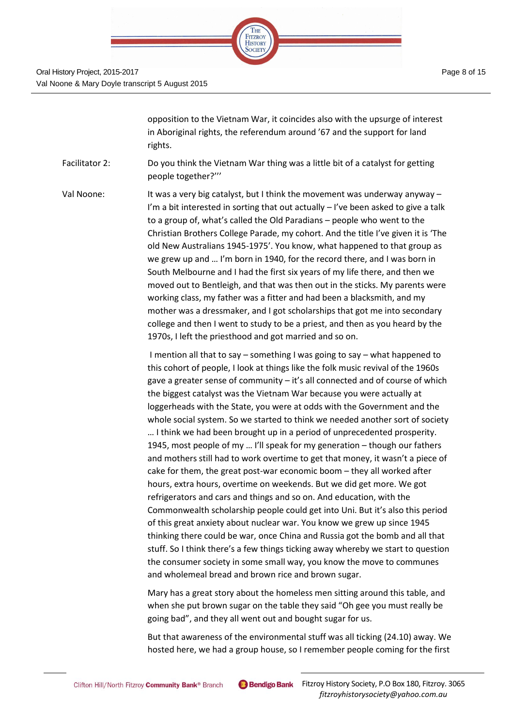

opposition to the Vietnam War, it coincides also with the upsurge of interest in Aboriginal rights, the referendum around '67 and the support for land rights.

Facilitator 2: Do you think the Vietnam War thing was a little bit of a catalyst for getting people together?'''

Val Noone: It was a very big catalyst, but I think the movement was underway anyway – I'm a bit interested in sorting that out actually  $-1$ 've been asked to give a talk to a group of, what's called the Old Paradians – people who went to the Christian Brothers College Parade, my cohort. And the title I've given it is 'The old New Australians 1945-1975'. You know, what happened to that group as we grew up and … I'm born in 1940, for the record there, and I was born in South Melbourne and I had the first six years of my life there, and then we moved out to Bentleigh, and that was then out in the sticks. My parents were working class, my father was a fitter and had been a blacksmith, and my mother was a dressmaker, and I got scholarships that got me into secondary college and then I went to study to be a priest, and then as you heard by the 1970s, I left the priesthood and got married and so on.

> I mention all that to say – something I was going to say – what happened to this cohort of people, I look at things like the folk music revival of the 1960s gave a greater sense of community – it's all connected and of course of which the biggest catalyst was the Vietnam War because you were actually at loggerheads with the State, you were at odds with the Government and the whole social system. So we started to think we needed another sort of society … I think we had been brought up in a period of unprecedented prosperity. 1945, most people of my … I'll speak for my generation – though our fathers and mothers still had to work overtime to get that money, it wasn't a piece of cake for them, the great post-war economic boom – they all worked after hours, extra hours, overtime on weekends. But we did get more. We got refrigerators and cars and things and so on. And education, with the Commonwealth scholarship people could get into Uni. But it's also this period of this great anxiety about nuclear war. You know we grew up since 1945 thinking there could be war, once China and Russia got the bomb and all that stuff. So I think there's a few things ticking away whereby we start to question the consumer society in some small way, you know the move to communes and wholemeal bread and brown rice and brown sugar.

Mary has a great story about the homeless men sitting around this table, and when she put brown sugar on the table they said "Oh gee you must really be going bad", and they all went out and bought sugar for us.

But that awareness of the environmental stuff was all ticking (24.10) away. We hosted here, we had a group house, so I remember people coming for the first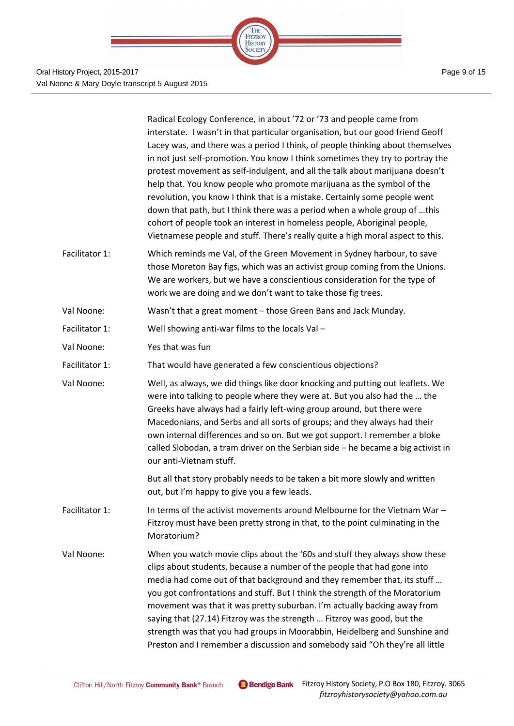|                | Radical Ecology Conference, in about '72 or '73 and people came from<br>interstate. I wasn't in that particular organisation, but our good friend Geoff<br>Lacey was, and there was a period I think, of people thinking about themselves<br>in not just self-promotion. You know I think sometimes they try to portray the<br>protest movement as self-indulgent, and all the talk about marijuana doesn't<br>help that. You know people who promote marijuana as the symbol of the<br>revolution, you know I think that is a mistake. Certainly some people went<br>down that path, but I think there was a period when a whole group of this<br>cohort of people took an interest in homeless people, Aboriginal people,<br>Vietnamese people and stuff. There's really quite a high moral aspect to this. |
|----------------|---------------------------------------------------------------------------------------------------------------------------------------------------------------------------------------------------------------------------------------------------------------------------------------------------------------------------------------------------------------------------------------------------------------------------------------------------------------------------------------------------------------------------------------------------------------------------------------------------------------------------------------------------------------------------------------------------------------------------------------------------------------------------------------------------------------|
| Facilitator 1: | Which reminds me Val, of the Green Movement in Sydney harbour, to save<br>those Moreton Bay figs, which was an activist group coming from the Unions.<br>We are workers, but we have a conscientious consideration for the type of<br>work we are doing and we don't want to take those fig trees.                                                                                                                                                                                                                                                                                                                                                                                                                                                                                                            |
| Val Noone:     | Wasn't that a great moment - those Green Bans and Jack Munday.                                                                                                                                                                                                                                                                                                                                                                                                                                                                                                                                                                                                                                                                                                                                                |
| Facilitator 1: | Well showing anti-war films to the locals Val -                                                                                                                                                                                                                                                                                                                                                                                                                                                                                                                                                                                                                                                                                                                                                               |
| Val Noone:     | Yes that was fun                                                                                                                                                                                                                                                                                                                                                                                                                                                                                                                                                                                                                                                                                                                                                                                              |
| Facilitator 1: | That would have generated a few conscientious objections?                                                                                                                                                                                                                                                                                                                                                                                                                                                                                                                                                                                                                                                                                                                                                     |
| Val Noone:     | Well, as always, we did things like door knocking and putting out leaflets. We<br>were into talking to people where they were at. But you also had the  the<br>Greeks have always had a fairly left-wing group around, but there were<br>Macedonians, and Serbs and all sorts of groups; and they always had their<br>own internal differences and so on. But we got support. I remember a bloke<br>called Slobodan, a tram driver on the Serbian side - he became a big activist in<br>our anti-Vietnam stuff.                                                                                                                                                                                                                                                                                               |
|                | But all that story probably needs to be taken a bit more slowly and written<br>out, but I'm happy to give you a few leads.                                                                                                                                                                                                                                                                                                                                                                                                                                                                                                                                                                                                                                                                                    |
| Facilitator 1: | In terms of the activist movements around Melbourne for the Vietnam War -<br>Fitzroy must have been pretty strong in that, to the point culminating in the<br>Moratorium?                                                                                                                                                                                                                                                                                                                                                                                                                                                                                                                                                                                                                                     |
| Val Noone:     | When you watch movie clips about the '60s and stuff they always show these<br>clips about students, because a number of the people that had gone into<br>media had come out of that background and they remember that, its stuff<br>you got confrontations and stuff. But I think the strength of the Moratorium<br>movement was that it was pretty suburban. I'm actually backing away from<br>saying that (27.14) Fitzroy was the strength  Fitzroy was good, but the<br>strength was that you had groups in Moorabbin, Heidelberg and Sunshine and<br>Preston and I remember a discussion and somebody said "Oh they're all little                                                                                                                                                                         |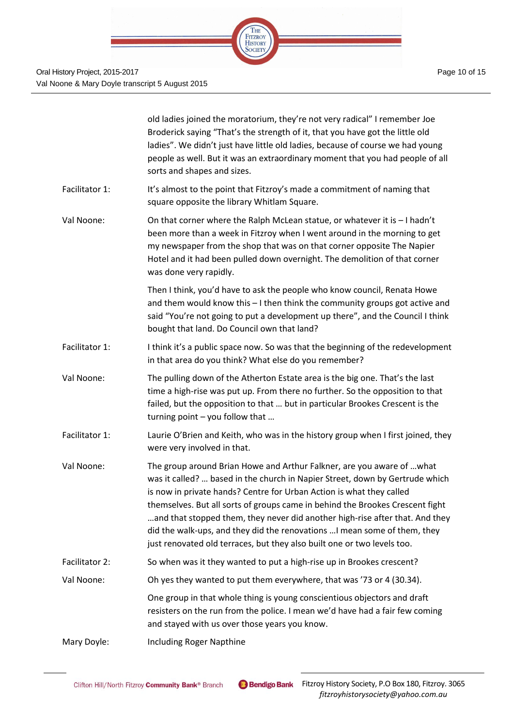

|                | old ladies joined the moratorium, they're not very radical" I remember Joe<br>Broderick saying "That's the strength of it, that you have got the little old<br>ladies". We didn't just have little old ladies, because of course we had young<br>people as well. But it was an extraordinary moment that you had people of all<br>sorts and shapes and sizes.                                                                                                                                                                                           |
|----------------|---------------------------------------------------------------------------------------------------------------------------------------------------------------------------------------------------------------------------------------------------------------------------------------------------------------------------------------------------------------------------------------------------------------------------------------------------------------------------------------------------------------------------------------------------------|
| Facilitator 1: | It's almost to the point that Fitzroy's made a commitment of naming that<br>square opposite the library Whitlam Square.                                                                                                                                                                                                                                                                                                                                                                                                                                 |
| Val Noone:     | On that corner where the Ralph McLean statue, or whatever it is $-1$ hadn't<br>been more than a week in Fitzroy when I went around in the morning to get<br>my newspaper from the shop that was on that corner opposite The Napier<br>Hotel and it had been pulled down overnight. The demolition of that corner<br>was done very rapidly.                                                                                                                                                                                                              |
|                | Then I think, you'd have to ask the people who know council, Renata Howe<br>and them would know this - I then think the community groups got active and<br>said "You're not going to put a development up there", and the Council I think<br>bought that land. Do Council own that land?                                                                                                                                                                                                                                                                |
| Facilitator 1: | I think it's a public space now. So was that the beginning of the redevelopment<br>in that area do you think? What else do you remember?                                                                                                                                                                                                                                                                                                                                                                                                                |
| Val Noone:     | The pulling down of the Atherton Estate area is the big one. That's the last<br>time a high-rise was put up. From there no further. So the opposition to that<br>failed, but the opposition to that  but in particular Brookes Crescent is the<br>turning point $-$ you follow that                                                                                                                                                                                                                                                                     |
| Facilitator 1: | Laurie O'Brien and Keith, who was in the history group when I first joined, they<br>were very involved in that.                                                                                                                                                                                                                                                                                                                                                                                                                                         |
| Val Noone:     | The group around Brian Howe and Arthur Falkner, are you aware of  what<br>was it called?  based in the church in Napier Street, down by Gertrude which<br>is now in private hands? Centre for Urban Action is what they called<br>themselves. But all sorts of groups came in behind the Brookes Crescent fight<br>and that stopped them, they never did another high-rise after that. And they<br>did the walk-ups, and they did the renovations  I mean some of them, they<br>just renovated old terraces, but they also built one or two levels too. |
| Facilitator 2: | So when was it they wanted to put a high-rise up in Brookes crescent?                                                                                                                                                                                                                                                                                                                                                                                                                                                                                   |
| Val Noone:     | Oh yes they wanted to put them everywhere, that was '73 or 4 (30.34).                                                                                                                                                                                                                                                                                                                                                                                                                                                                                   |
|                | One group in that whole thing is young conscientious objectors and draft<br>resisters on the run from the police. I mean we'd have had a fair few coming<br>and stayed with us over those years you know.                                                                                                                                                                                                                                                                                                                                               |
| Mary Doyle:    | Including Roger Napthine                                                                                                                                                                                                                                                                                                                                                                                                                                                                                                                                |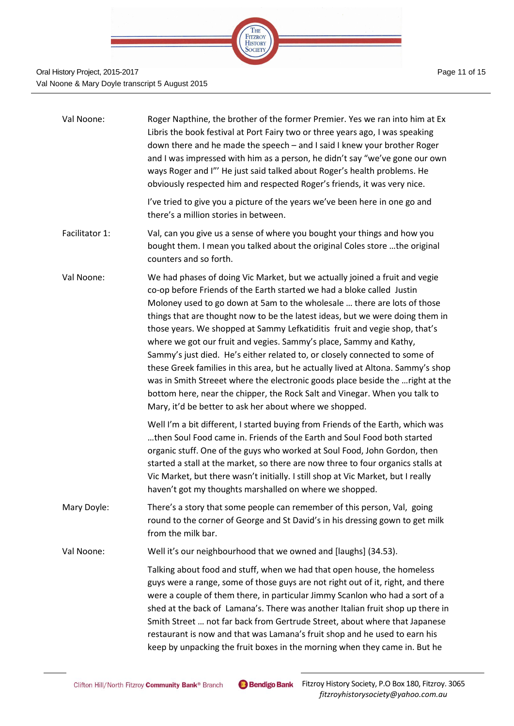| Val Noone:     | Roger Napthine, the brother of the former Premier. Yes we ran into him at Ex<br>Libris the book festival at Port Fairy two or three years ago, I was speaking<br>down there and he made the speech - and I said I knew your brother Roger<br>and I was impressed with him as a person, he didn't say "we've gone our own<br>ways Roger and I"' He just said talked about Roger's health problems. He<br>obviously respected him and respected Roger's friends, it was very nice.                                                                                                                                                                                                                                                                                                                                                                                    |
|----------------|---------------------------------------------------------------------------------------------------------------------------------------------------------------------------------------------------------------------------------------------------------------------------------------------------------------------------------------------------------------------------------------------------------------------------------------------------------------------------------------------------------------------------------------------------------------------------------------------------------------------------------------------------------------------------------------------------------------------------------------------------------------------------------------------------------------------------------------------------------------------|
|                | I've tried to give you a picture of the years we've been here in one go and<br>there's a million stories in between.                                                                                                                                                                                                                                                                                                                                                                                                                                                                                                                                                                                                                                                                                                                                                |
| Facilitator 1: | Val, can you give us a sense of where you bought your things and how you<br>bought them. I mean you talked about the original Coles store  the original<br>counters and so forth.                                                                                                                                                                                                                                                                                                                                                                                                                                                                                                                                                                                                                                                                                   |
| Val Noone:     | We had phases of doing Vic Market, but we actually joined a fruit and vegie<br>co-op before Friends of the Earth started we had a bloke called Justin<br>Moloney used to go down at 5am to the wholesale  there are lots of those<br>things that are thought now to be the latest ideas, but we were doing them in<br>those years. We shopped at Sammy Lefkatiditis fruit and vegie shop, that's<br>where we got our fruit and vegies. Sammy's place, Sammy and Kathy,<br>Sammy's just died. He's either related to, or closely connected to some of<br>these Greek families in this area, but he actually lived at Altona. Sammy's shop<br>was in Smith Streeet where the electronic goods place beside the  right at the<br>bottom here, near the chipper, the Rock Salt and Vinegar. When you talk to<br>Mary, it'd be better to ask her about where we shopped. |
|                | Well I'm a bit different, I started buying from Friends of the Earth, which was<br>then Soul Food came in. Friends of the Earth and Soul Food both started<br>organic stuff. One of the guys who worked at Soul Food, John Gordon, then<br>started a stall at the market, so there are now three to four organics stalls at<br>Vic Market, but there wasn't initially. I still shop at Vic Market, but I really<br>haven't got my thoughts marshalled on where we shopped.                                                                                                                                                                                                                                                                                                                                                                                          |
| Mary Doyle:    | There's a story that some people can remember of this person, Val, going<br>round to the corner of George and St David's in his dressing gown to get milk<br>from the milk bar.                                                                                                                                                                                                                                                                                                                                                                                                                                                                                                                                                                                                                                                                                     |
| Val Noone:     | Well it's our neighbourhood that we owned and [laughs] (34.53).                                                                                                                                                                                                                                                                                                                                                                                                                                                                                                                                                                                                                                                                                                                                                                                                     |
|                | Talking about food and stuff, when we had that open house, the homeless<br>guys were a range, some of those guys are not right out of it, right, and there<br>were a couple of them there, in particular Jimmy Scanlon who had a sort of a<br>shed at the back of Lamana's. There was another Italian fruit shop up there in<br>Smith Street  not far back from Gertrude Street, about where that Japanese<br>restaurant is now and that was Lamana's fruit shop and he used to earn his<br>keep by unpacking the fruit boxes in the morning when they came in. But he                                                                                                                                                                                                                                                                                              |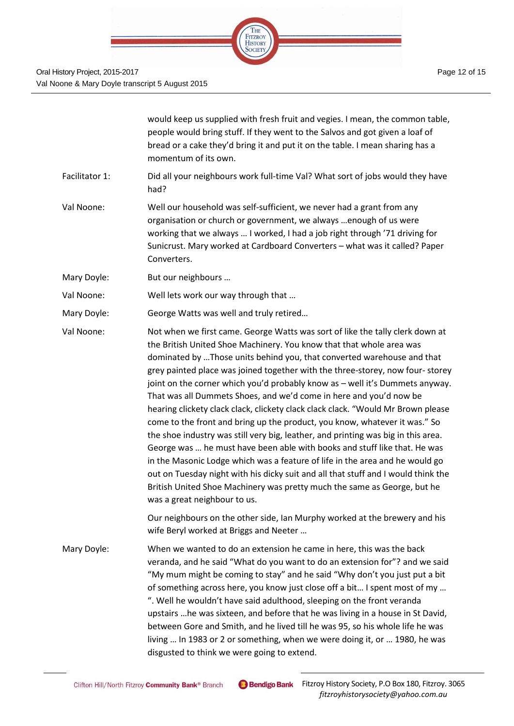

Val Noone & Mary Doyle transcript 5 August 2015

would keep us supplied with fresh fruit and vegies. I mean, the common table, people would bring stuff. If they went to the Salvos and got given a loaf of bread or a cake they'd bring it and put it on the table. I mean sharing has a momentum of its own. Facilitator 1: Did all your neighbours work full-time Val? What sort of jobs would they have had? Val Noone: Well our household was self-sufficient, we never had a grant from any organisation or church or government, we always …enough of us were working that we always … I worked, I had a job right through '71 driving for Sunicrust. Mary worked at Cardboard Converters – what was it called? Paper Converters. Mary Doyle: But our neighbours ... Val Noone: Well lets work our way through that … Mary Doyle: George Watts was well and truly retired… Val Noone: Not when we first came. George Watts was sort of like the tally clerk down at the British United Shoe Machinery. You know that that whole area was dominated by …Those units behind you, that converted warehouse and that grey painted place was joined together with the three-storey, now four- storey joint on the corner which you'd probably know as – well it's Dummets anyway. That was all Dummets Shoes, and we'd come in here and you'd now be hearing clickety clack clack, clickety clack clack clack. "Would Mr Brown please come to the front and bring up the product, you know, whatever it was." So the shoe industry was still very big, leather, and printing was big in this area. George was … he must have been able with books and stuff like that. He was in the Masonic Lodge which was a feature of life in the area and he would go out on Tuesday night with his dicky suit and all that stuff and I would think the British United Shoe Machinery was pretty much the same as George, but he was a great neighbour to us. Our neighbours on the other side, Ian Murphy worked at the brewery and his wife Beryl worked at Briggs and Neeter … Mary Doyle: When we wanted to do an extension he came in here, this was the back veranda, and he said "What do you want to do an extension for"? and we said "My mum might be coming to stay" and he said "Why don't you just put a bit of something across here, you know just close off a bit… I spent most of my … ". Well he wouldn't have said adulthood, sleeping on the front veranda upstairs …he was sixteen, and before that he was living in a house in St David, between Gore and Smith, and he lived till he was 95, so his whole life he was living … In 1983 or 2 or something, when we were doing it, or … 1980, he was disgusted to think we were going to extend.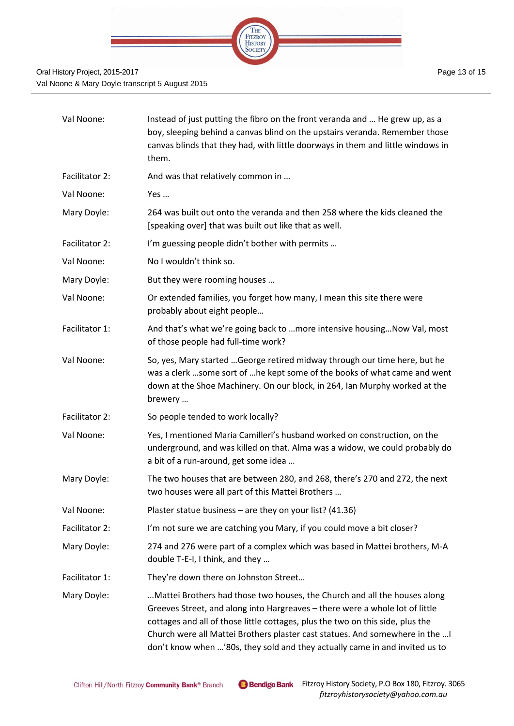

| Val Noone:     | Instead of just putting the fibro on the front veranda and  He grew up, as a<br>boy, sleeping behind a canvas blind on the upstairs veranda. Remember those<br>canvas blinds that they had, with little doorways in them and little windows in<br>them.                                                                                                                                                     |
|----------------|-------------------------------------------------------------------------------------------------------------------------------------------------------------------------------------------------------------------------------------------------------------------------------------------------------------------------------------------------------------------------------------------------------------|
| Facilitator 2: | And was that relatively common in                                                                                                                                                                                                                                                                                                                                                                           |
| Val Noone:     | Yes                                                                                                                                                                                                                                                                                                                                                                                                         |
| Mary Doyle:    | 264 was built out onto the veranda and then 258 where the kids cleaned the<br>[speaking over] that was built out like that as well.                                                                                                                                                                                                                                                                         |
| Facilitator 2: | I'm guessing people didn't bother with permits                                                                                                                                                                                                                                                                                                                                                              |
| Val Noone:     | No I wouldn't think so.                                                                                                                                                                                                                                                                                                                                                                                     |
| Mary Doyle:    | But they were rooming houses                                                                                                                                                                                                                                                                                                                                                                                |
| Val Noone:     | Or extended families, you forget how many, I mean this site there were<br>probably about eight people                                                                                                                                                                                                                                                                                                       |
| Facilitator 1: | And that's what we're going back to  more intensive housing Now Val, most<br>of those people had full-time work?                                                                                                                                                                                                                                                                                            |
| Val Noone:     | So, yes, Mary started George retired midway through our time here, but he<br>was a clerk some sort of he kept some of the books of what came and went<br>down at the Shoe Machinery. On our block, in 264, Ian Murphy worked at the<br>brewery                                                                                                                                                              |
| Facilitator 2: | So people tended to work locally?                                                                                                                                                                                                                                                                                                                                                                           |
| Val Noone:     | Yes, I mentioned Maria Camilleri's husband worked on construction, on the<br>underground, and was killed on that. Alma was a widow, we could probably do<br>a bit of a run-around, get some idea                                                                                                                                                                                                            |
| Mary Doyle:    | The two houses that are between 280, and 268, there's 270 and 272, the next<br>two houses were all part of this Mattei Brothers                                                                                                                                                                                                                                                                             |
| Val Noone:     | Plaster statue business - are they on your list? (41.36)                                                                                                                                                                                                                                                                                                                                                    |
| Facilitator 2: | I'm not sure we are catching you Mary, if you could move a bit closer?                                                                                                                                                                                                                                                                                                                                      |
| Mary Doyle:    | 274 and 276 were part of a complex which was based in Mattei brothers, M-A<br>double T-E-I, I think, and they                                                                                                                                                                                                                                                                                               |
| Facilitator 1: | They're down there on Johnston Street                                                                                                                                                                                                                                                                                                                                                                       |
| Mary Doyle:    | Mattei Brothers had those two houses, the Church and all the houses along<br>Greeves Street, and along into Hargreaves - there were a whole lot of little<br>cottages and all of those little cottages, plus the two on this side, plus the<br>Church were all Mattei Brothers plaster cast statues. And somewhere in the  I<br>don't know when '80s, they sold and they actually came in and invited us to |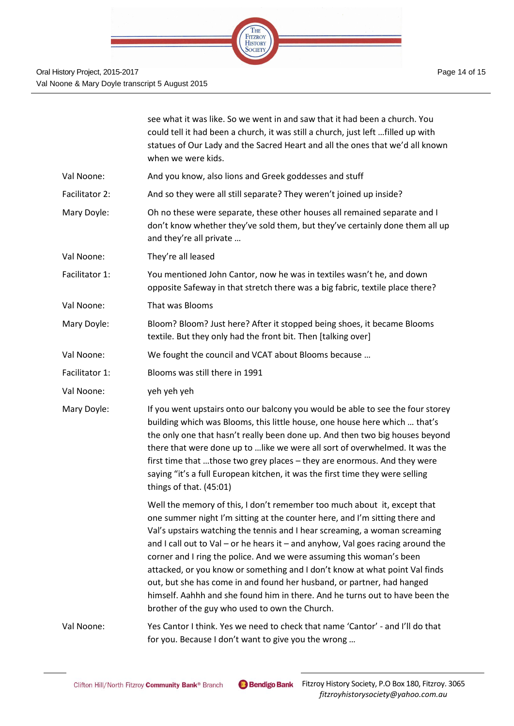

| see what it was like. So we went in and saw that it had been a church. You        |  |
|-----------------------------------------------------------------------------------|--|
| could tell it had been a church, it was still a church, just left  filled up with |  |
| statues of Our Lady and the Sacred Heart and all the ones that we'd all known     |  |
| when we were kids.                                                                |  |

Val Noone: And you know, also lions and Greek goddesses and stuff

- Facilitator 2: And so they were all still separate? They weren't joined up inside?
- Mary Doyle: Oh no these were separate, these other houses all remained separate and I don't know whether they've sold them, but they've certainly done them all up and they're all private …

Val Noone: They're all leased

Facilitator 1: You mentioned John Cantor, now he was in textiles wasn't he, and down opposite Safeway in that stretch there was a big fabric, textile place there?

Val Noone: That was Blooms

Mary Doyle: Bloom? Bloom? Just here? After it stopped being shoes, it became Blooms textile. But they only had the front bit. Then [talking over]

Val Noone: We fought the council and VCAT about Blooms because …

Facilitator 1: Blooms was still there in 1991

Val Noone: yeh yeh yeh

Mary Doyle: If you went upstairs onto our balcony you would be able to see the four storey building which was Blooms, this little house, one house here which … that's the only one that hasn't really been done up. And then two big houses beyond there that were done up to …like we were all sort of overwhelmed. It was the first time that …those two grey places – they are enormous. And they were saying "it's a full European kitchen, it was the first time they were selling things of that. (45:01)

> Well the memory of this, I don't remember too much about it, except that one summer night I'm sitting at the counter here, and I'm sitting there and Val's upstairs watching the tennis and I hear screaming, a woman screaming and I call out to Val – or he hears it – and anyhow, Val goes racing around the corner and I ring the police. And we were assuming this woman's been attacked, or you know or something and I don't know at what point Val finds out, but she has come in and found her husband, or partner, had hanged himself. Aahhh and she found him in there. And he turns out to have been the brother of the guy who used to own the Church.

Val Noone: Yes Cantor I think. Yes we need to check that name 'Cantor' - and I'll do that for you. Because I don't want to give you the wrong …